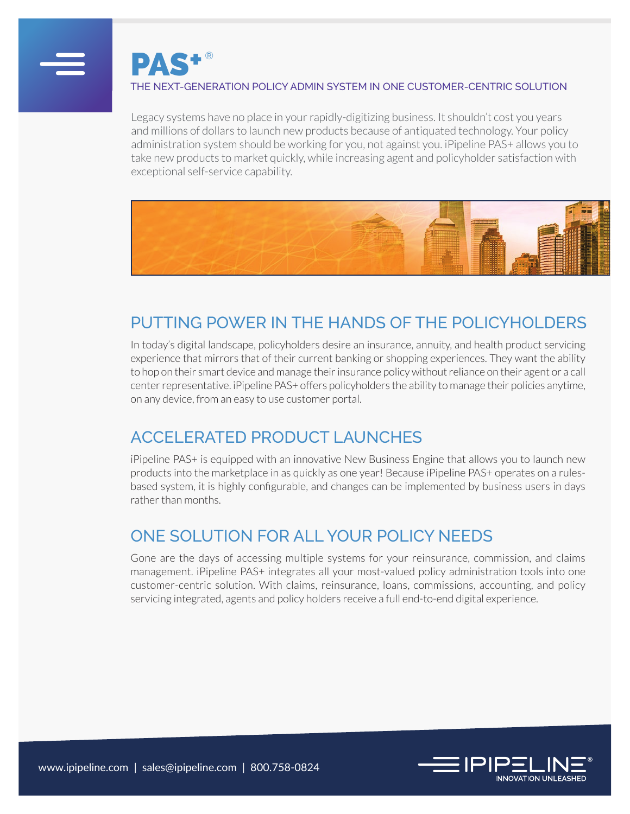

PAS**+** ®

#### THE NEXT-GENERATION POLICY ADMIN SYSTEM IN ONE CUSTOMER-CENTRIC SOLUTION

Legacy systems have no place in your rapidly-digitizing business. It shouldn't cost you years and millions of dollars to launch new products because of antiquated technology. Your policy administration system should be working for you, not against you. iPipeline PAS+ allows you to take new products to market quickly, while increasing agent and policyholder satisfaction with exceptional self-service capability.



## PUTTING POWER IN THE HANDS OF THE POLICYHOLDERS

In today's digital landscape, policyholders desire an insurance, annuity, and health product servicing experience that mirrors that of their current banking or shopping experiences. They want the ability to hop on their smart device and manage their insurance policy without reliance on their agent or a call center representative. iPipeline PAS+ offers policyholders the ability to manage their policies anytime, on any device, from an easy to use customer portal.

## ACCELERATED PRODUCT LAUNCHES

iPipeline PAS+ is equipped with an innovative New Business Engine that allows you to launch new products into the marketplace in as quickly as one year! Because iPipeline PAS+ operates on a rulesbased system, it is highly configurable, and changes can be implemented by business users in days rather than months.

### ONE SOLUTION FOR ALL YOUR POLICY NEEDS

Gone are the days of accessing multiple systems for your reinsurance, commission, and claims management. iPipeline PAS+ integrates all your most-valued policy administration tools into one customer-centric solution. With claims, reinsurance, loans, commissions, accounting, and policy servicing integrated, agents and policy holders receive a full end-to-end digital experience.